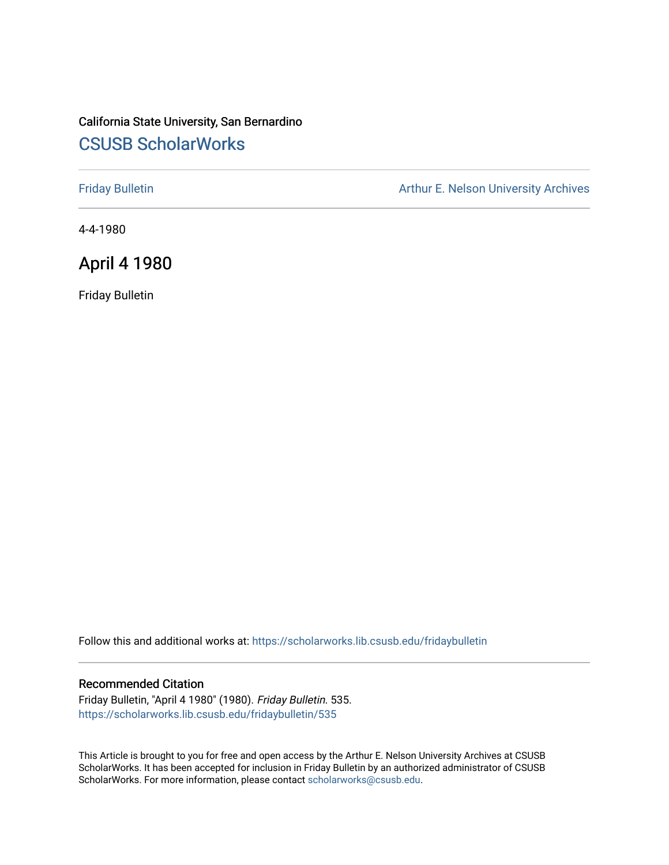# California State University, San Bernardino [CSUSB ScholarWorks](https://scholarworks.lib.csusb.edu/)

[Friday Bulletin](https://scholarworks.lib.csusb.edu/fridaybulletin) **Arthur E. Nelson University Archives** Arthur E. Nelson University Archives

4-4-1980

# April 4 1980

Friday Bulletin

Follow this and additional works at: [https://scholarworks.lib.csusb.edu/fridaybulletin](https://scholarworks.lib.csusb.edu/fridaybulletin?utm_source=scholarworks.lib.csusb.edu%2Ffridaybulletin%2F535&utm_medium=PDF&utm_campaign=PDFCoverPages)

## Recommended Citation

Friday Bulletin, "April 4 1980" (1980). Friday Bulletin. 535. [https://scholarworks.lib.csusb.edu/fridaybulletin/535](https://scholarworks.lib.csusb.edu/fridaybulletin/535?utm_source=scholarworks.lib.csusb.edu%2Ffridaybulletin%2F535&utm_medium=PDF&utm_campaign=PDFCoverPages)

This Article is brought to you for free and open access by the Arthur E. Nelson University Archives at CSUSB ScholarWorks. It has been accepted for inclusion in Friday Bulletin by an authorized administrator of CSUSB ScholarWorks. For more information, please contact [scholarworks@csusb.edu.](mailto:scholarworks@csusb.edu)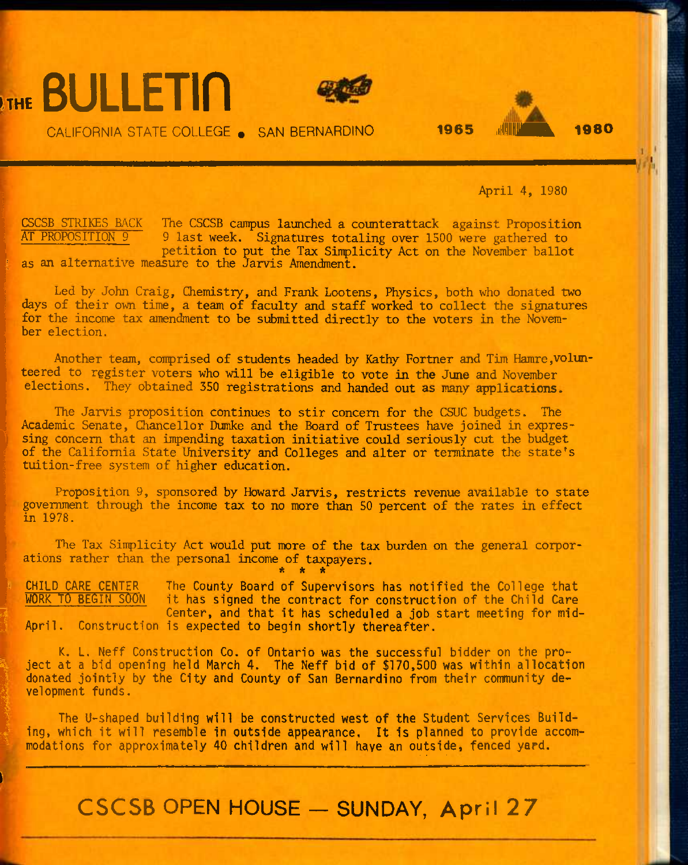# **BULLETIN**

**I** 





April 4, 1980

CSCSB STRIKES BACK The CSCSB campus launched a counterattack against Proposition<br>AT PROPOSITION 9 9 last week. Signatures totaling over 1500 were gathered to 9 last week. Signatures totaling over 1500 were gathered to petition to put the Tax Sinplicity Act on the November ballot as an alternative measure to the Jarvis Amendment.

Led by John Craig, Chemistry, and Frank Lootens, Physics, both who donated two days of their own time, a team of faculty and staff worked to collect the signatures for the income tax amendment to be submitted directly to the voters in the November election.

Another team, comprised of students headed by Kathy Fortner and Tim Hamre, volunteered to register voters who will be eligible to vote in the June and November elections. They obtained 350 registrations and handed out as many applications.

The Jarvis proposition continues to stir concern for the CSUC budgets. The Academic Senate, Chancellor Dumke and the Board of Trustees have joined in expressing concern that an impending taxation initiative could seriously cut the budget of the California State University and Colleges and alter or terminate the state's tuition-free system of higher education.

Proposition 9, sponsored by Howard Jarvis, restricts revenue available to state government through the income tax to no more than 50 percent of the rates in effect in 1978.

The Tax Simplicity Act would put more of the tax burden on the general corporations rather than the personal income of taxpayers, **\* \* \*** 

CHILD CARE CENTER The County Board of Supervisors has notified the College that<br>WORK TO BEGIN SOON it has signed the contract for construction of the Child Care it has signed the contract for construction of the Child Care Center, and that it has scheduled a job start meeting for mid-April. Construction is expected to begin shortly thereafter.

K. L. Neff Construction Co. of Ontario was the successful bidder on the project at a bid opening held March 4. The Neff bid of \$170,500 was within allocation donated jointly by the City and County of San Bernardino from their community development funds.

The U-shaped building will be constructed west of the Student Services Building, which it will resemble in outside appearance. It is planned to provide accommodations for approximately 40 children and will have an outside, fenced yard.

**CSCSB OPEN HOUSE — SUNDAY, April 27**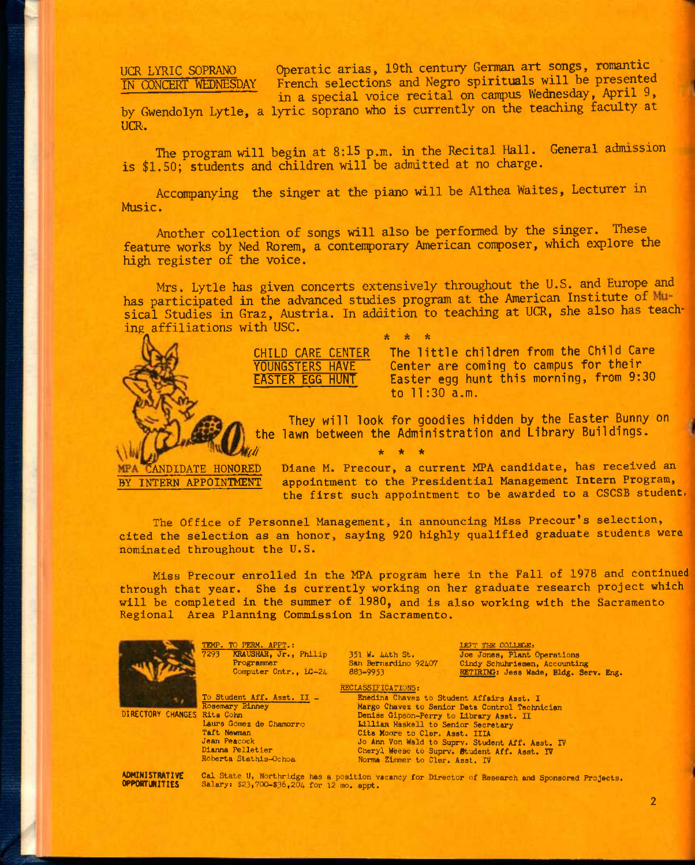# UCR LYRIC SOPRANO IN CONCERT WEDNESDAY

Operatic arias, 19th century German art songs, romantic French selections and Negro spirituals will be presented in a special voice recital on campus Wednesday, April 9,

by Gwendolyn Lytle, a lyric soprano who is currently on the teaching faculty at UCR.

The program will begin at 8:15 p.m. in the Recital Hall. General admission is \$1.50; students and children will be admitted at no charge.

Accompanying the singer at the piano will be Althea Waites, Lecturer in Music.

Another collection of songs will also be performed by the singer. These feature works by Ned Rorem, a contemporary American composer, which explore the high register of the voice.

Mrs. Lytle has given concerts extensively throughout the U.S. and Europe and has participated in the advanced studies program at the American Institute of Musical Studies in Graz, Austria. In addition to teaching at UCR, she also has teaching affiliations with USC. A \* \* \*



CHILD CARE CENTER The little children from the Child Care YOUNGSTERS HAVE Center are coming to campus for their EASTER EGG HUNT Easter egg hunt this morning, from 9:30 to 11:30 a.m.

They will look for goodies hidden by the Easter Bunny on the lawn between the Administration and Library Buildings.

**MPA** 

C**ANDIDATE HONORED Diane** M**. Precour, a current MPA candidate, has received an BY INTERN APPOINTMENT appointment to the Presidential Management Intern Program, the first such appointment to be awarded to a CSCSB student.** 

The Office of Personnel Management, in announcing Miss Precour's selection, **cited the selection as an honor, saying 920 highly qualified graduate students were nominated throughout the U.S.** 

**Miss Precour enrolled In the MPA program here In the Fall of 1978 and continued through that year. She Is currently working on her graduate research project which will be completed In the summer of 1980, and Is also working with the Sacramento Regional Area Planning Commission In Sacramento.** 



TEMP. TO PERM. APPT.:<br>7293 KRAUSHAR. Jr., KRAUSHAR, Jr., Philip Programmer Computer Cntr., *LC-24* 

To Student Aff. Asst. IT. -

Laura Gomez de Chamorro

351 W. Uhth St. San Bernardino 92407 883-9953

LEFT THE COLLEGE: Joe Jones, Plant Operations Cindy Schuhriemen, Accounting RETIRIIC: Jess Wade, Bldg. Serv. Eng.

RECLASSIFICATIONS:

Enedina Chavez to Student Affairs Asst. I Margo Chavez to Senior Data Control Technician Denise Gipson-Perry to Library Asst. II Lillian Haskell to Senior Secretary Cita Moore to Cler. Asst. IIIA Jo Ann Von Wald to Suprv. Student Aff. Asst. IV Cheryl Weese to Suprv. Student Aff. Asst. IV<br>Norma Zimmer to Cler. Asst. IV

DIRECTORY CHANGES Rita Cohn

AOHINISTRATIVE OPPORTUNITIES

Taft Newman Jean Peacock Dlanna Pelletler Roberta Stathis-Ochoa

Rosemary Binney

Cal State U, Northridge has a position vacancy for Director of Research and Sponsored Projects. Salary: \$23,700-\$36,204 for 12 mo. appt.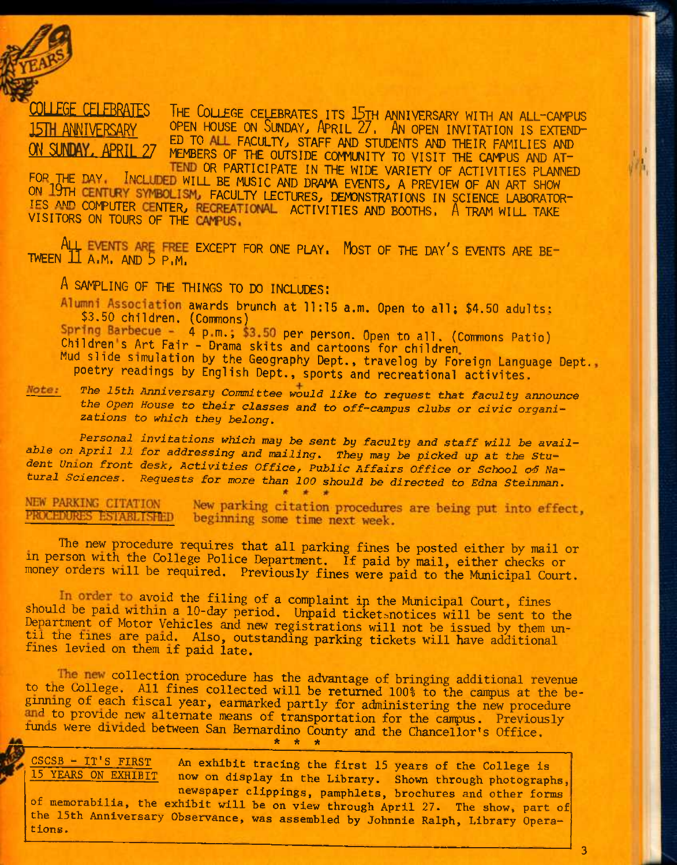

### THE COLLEGE CELEBRATES ITS 15TH ANNIVERSARY WITH AN ALL-CAMPUS<br>OPEN HOUSE ON SUNDAY, APRIL 27. AN OPEN INVITATION IS EXTEND-**FGE CELFRRATES** 15TH ANNIVERSARY ED TO ALL FACULTY, STAFF AND STUDENTS AND THEIR FAMILIES AND SINDAY. **APRTI** MEMBERS OF THE OUTSIDE COMMUNITY TO VISIT THE CAMPUS AND AT-

TEND OR PARTICIPATE IN THE WIDE VARIETY OF ACTIVITIES PLANNED FOR THE DAY. INCLUDED WILL BE MUSIC AND DRAMA EVENTS, A PREVIEW OF AN ART SHOW ON 19TH CENTURY SYMBOLISM, FACULTY LECTURES, DEMONSTRATIONS IN SCIENCE LABORATOR-IES AND COMPUTER CENTER, RECREATIONAL ACTIVITIES AND BOOTHS, A TRAM WILL TAKE VISITORS ON TOURS OF THE CAMPUS.

ALL EVENTS ARE FREE EXCEPT FOR ONE PLAY. MOST OF THE DAY'S EVENTS ARE BE-**TWEEN**  $\Pi$  **A.M. AND**  $\overline{5}$  **P.M.** 

A SAMPLING OF THE THINGS TO DO INCLUDES:

Alumni Association awards brunch at 11:15 a.m. Open to all; \$4.50 adults; \$3.50 children. (Commons)

Spring Barbecue - 4 p m., \$3.50 per person. Open to all. (Commons Patio) Children's Art Fair - Drama skits and cartoons for children<br>Mud slide simulation by the Geography Dept., travelog by Foreign Language Dept... poetry readings by English Dept., sports and recreational activites.

The 15th Anniversary Committee would like to request that faculty announce Note: the Open House to their classes and to off-campus clubs or civic organizations to which they belong.

Personal invitations which may be sent by faculty and staff will be available on April 11 for addressing and mailing. They may be picked up at the Student Union front desk, Activities Office, Public Affairs Office or School of Natural Sciences. Requests for more than 100 should be directed to Edna Steinman.

NEW PARKING CITATION New parking citation procedures are being put into effect, PROGEDURES ESTABLISHED beginning some time next week.

The new procedure requires that all parking fines be posted either by mail or in person with the College Police Department. If paid by mail, either checks or money orders will be required. Previously fines were paid to the Municipal Court.

In order to avoid the filing of a complaint in the Municipal Court, fines should be paid within a 10-day period. Unpaid ticket snotices will be sent to the Department of Motor Vehicles and new registrations will not be issued by them until the fines are paid. Also, outstanding parking tickets will have additional fines levied on them if paid late.

The new collection procedure has the advantage of bringing additional revenue to the College. All fines collected will be returned 100% to the campus at the beginning of each fiscal year, earmarked partly for administering the new procedure and to provide new alternate means of transportation for the campus. Previously funds were divided between San Bernardino County and the Chancellor's Office.

CSCSB - IT'S FIRST An exhibit tracing the first 15 years of the College is 15 YEARS ON EXHIBIT now on display in the Library. Shown through photographs, newspaper clippings, pamphlets, brochures and other forms of memorabilia, the exhibit will be on view through April 27. The show, part of the 15th Anniversary Observance, was assembled by Johnnie Ralph, Library Operations.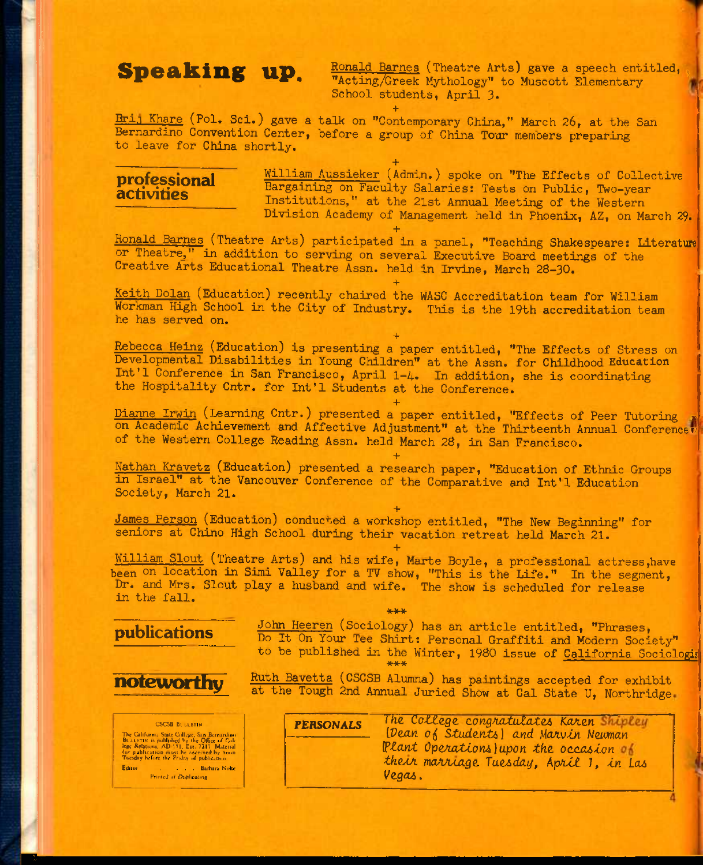**Speaking up.** Ronald Barnes (Theatre Arts) gave a speech entitled, School students, April 3.

**+**  Brij Khare (Pol. Sci.) gave a talk on "Contemporary China," March 26, at the San Bernardino Convention Center, before a group of China Tour members preparing to leave for China shortly.

**+** 

# **professional activities**

William Aussieker (Admin.) spoke on "The Effects of Collective Bargaining on Faculty Salaries: Tests on Public, Two-year Institutions," at the 21st Annual Meeting of the Western Division Academy of Management held in Phoenix, AZ, on March 29.

**+**  Ronald Barnes (Theatre Arts) participated in a panel, "Teaching Shakespeare: Literature or Theatre," in addition to serving on several Executive Board meetings of the Creative Arts Educational Theatre Assn. held in Irvine, March 28-30.

**+**  Keith Dolan (Education) recently chaired the WASC Accreditation team for William Workman High School in the City of Industry. This is the 19th accreditation team he has served on.

**+**  Rebecca Heinz (Education) is presenting a paper entitled, "The Effects of Stress on Developmental Disabilities in Young Children" at the Assn. for Childhood Education Int'l Conference in San Francisco, April 1-4. In addition, she is coordinating the Hospitality Cntr. for Int'l Students at the Conference.

**+**  Dianne Irwin (Learning Cntr.) presented a paper entitled, "Effects of Peer Tutoring on Academic Achievement and Affective Adjustment" at the Thirteenth Annual Conferencer of the Western College Reading Assn. held March 28, in San Francisco.

**+**  Nathan Kravetz (Education) presented a research paper, "Education of Ethnic Groups in Israel" at the Vancouver Conference of the Comparative and Int'l Education Society, March 21.

**+**  James Person (Education) conducted a workshop entitled, "The New Beginning" for seniors at Chino High School during their vacation retreat held March 21.

**+**  William Slout (Theatre Arts) and his wife, Marte Boyle, a professional actress,have been on location in Simi Valley for a TV show, "This is the Life." In the segment, Dr. and Mrs. Slout play a husband and wife. The show is scheduled for release in the fall.

\*\*\*

# **publications**



CSCSB Bi LLETIN The Galifornia State College, San Bernardino<br>BR LLETIN is published by the Office of College Relations, AD-171, Ext. 7317 Material<br>for publication must be received by noon<br>Tuesday before the Priday of publication.<br>Editor . Printed at Duplicating

John Heeren (Sociology) has an article entitled, "Phrases, Do It On Your Tee Shirt: Personal Graffiti and Modern Society" to be published in the Winter, 1980 issue of <u>California Sociologis</u>

**noteworthy** Ruth Bavetta (CSCSB Alumna) has paintings accepted for exhibit at the Tough 2nd Annual Juried Show at Cal State U, Northridge.

> **PERSONALS** The *College congratulates Karen Shipley LDean of Students* and Marvin Newman *(Plant Operations) upon the occasion* of the*ur marriage Tuesday, April 1, in Las Vagcu,*